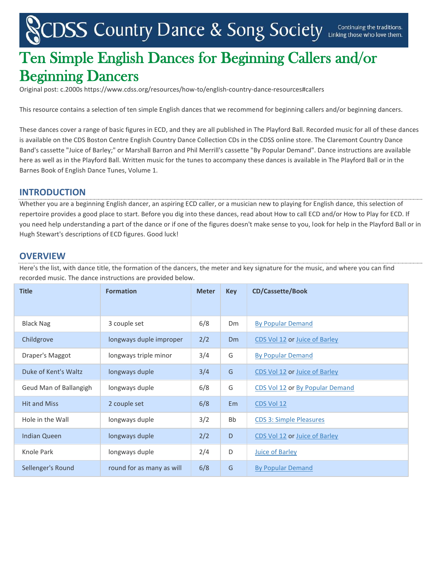# CDSS Country Dance & Song Society Linking those who love them.

# Ten Simple English Dances for Beginning Callers and/or Beginning Dancers

Original post: c.2000s https://www.cdss.org/resources/how-to/english-country-dance-resources#callers

This resource contains a selection of ten simple English dances that we recommend for beginning callers and/or beginning dancers.

These dances cover a range of basic figures in ECD, and they are all published in The Playford Ball. Recorded music for all of these dances is available on the CDS Boston Centre English Country Dance Collection CDs in the CDSS online store. The Claremont Country Dance Band's cassette "Juice of Barley;" or Marshall Barron and Phil Merrill's cassette "By Popular Demand". Dance instructions are available here as well as in the Playford Ball. Written music for the tunes to accompany these dances is available in The Playford Ball or in the Barnes Book of English Dance Tunes, Volume 1.

#### **INTRODUCTION**

Whether you are a beginning English dancer, an aspiring ECD caller, or a musician new to playing for English dance, this selection of repertoire provides a good place to start. Before you dig into these dances, read about How to call ECD and/or How to Play for ECD. If you need help understanding a part of the dance or if one of the figures doesn't make sense to you, look for help in the Playford Ball or in Hugh Stewart's descriptions of ECD figures. Good luck!

#### **OVERVIEW**

Here's the list, with dance title, the formation of the dancers, the meter and key signature for the music, and where you can find recorded music. The dance instructions are provided below.

| <b>Title</b>           | <b>Formation</b>          | <b>Meter</b> | <b>Key</b> | <b>CD/Cassette/Book</b>         |
|------------------------|---------------------------|--------------|------------|---------------------------------|
|                        |                           |              |            |                                 |
| <b>Black Nag</b>       | 3 couple set              | 6/8          | Dm         | <b>By Popular Demand</b>        |
| Childgrove             | longways duple improper   | 2/2          | <b>Dm</b>  | CDS Vol 12 or Juice of Barley   |
| Draper's Maggot        | longways triple minor     | 3/4          | G          | <b>By Popular Demand</b>        |
| Duke of Kent's Waltz   | longways duple            | 3/4          | G          | CDS Vol 12 or Juice of Barley   |
| Geud Man of Ballangigh | longways duple            | 6/8          | G          | CDS Vol 12 or By Popular Demand |
| <b>Hit and Miss</b>    | 2 couple set              | 6/8          | Em         | CDS Vol 12                      |
| Hole in the Wall       | longways duple            | 3/2          | Bb         | <b>CDS 3: Simple Pleasures</b>  |
| <b>Indian Queen</b>    | longways duple            | 2/2          | D          | CDS Vol 12 or Juice of Barley   |
| Knole Park             | longways duple            | 2/4          | D          | Juice of Barley                 |
| Sellenger's Round      | round for as many as will | 6/8          | G          | <b>By Popular Demand</b>        |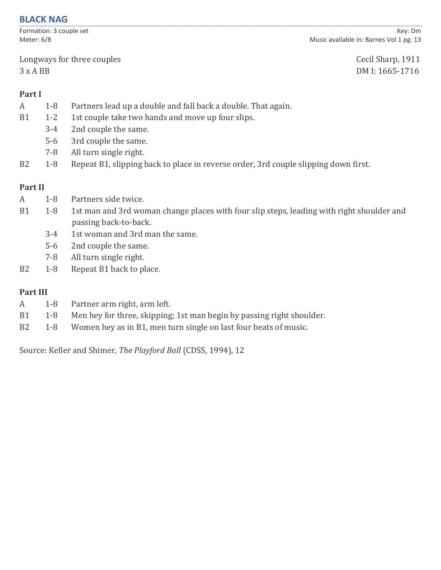### **BLACK NAG**

Formation: 3 couple set Meter: 6/8

Longways for three couples Cecil Sharp, 1911

Key: Dm Music available in: Barnes Vol 1 pg. 13

3 x A BB DM I: 1665-1716

# **Part I**

- A 1-8 Partners lead up a double and fall back a double. That again.
- B1 1-2 1st couple take two hands and move up four slips.
	- 3-4 2nd couple the same.
	- 5-6 3rd couple the same.
	- 7-8 All turn single right.
- B2 1-8 Repeat B1, slipping back to place in reverse order, 3rd couple slipping down first.

# **Part II**

- A 1-8 Partners side twice.
- B1 1-8 1st man and 3rd woman change places with four slip steps, leading with right shoulder and passing back-to-back.
	- 3-4 1st woman and 3rd man the same.
	- 5-6 2nd couple the same.
	- 7-8 All turn single right.
- B2 1-8 Repeat B1 back to place.

# **Part III**

- A 1-8 Partner arm right, arm left.
- B1 1-8 Men hey for three, skipping; 1st man begin by passing right shoulder.
- B2 1-8 Women hey as in B1, men turn single on last four beats of music.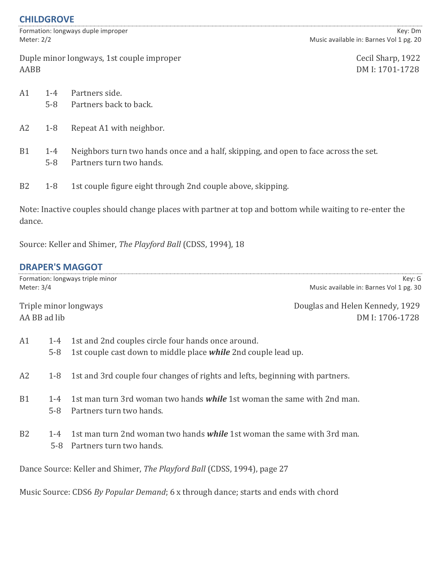# **CHILDGROVE**

|      | Meter: 2/2         | Formation: longways duple improper                                                                               | Key: Dm<br>Music available in: Barnes Vol 1 pg. 20 |
|------|--------------------|------------------------------------------------------------------------------------------------------------------|----------------------------------------------------|
| AABB |                    | Duple minor longways, 1st couple improper                                                                        | Cecil Sharp, 1922<br>DM I: 1701-1728               |
| Α1   | $1 - 4$<br>$5-8$   | Partners side.<br>Partners back to back.                                                                         |                                                    |
| Α2   | $1 - 8$            | Repeat A1 with neighbor.                                                                                         |                                                    |
| B1   | $1 - 4$<br>$5 - 8$ | Neighbors turn two hands once and a half, skipping, and open to face across the set.<br>Partners turn two hands. |                                                    |
| B2   | $1 - 8$            | 1st couple figure eight through 2nd couple above, skipping.                                                      |                                                    |
|      |                    |                                                                                                                  |                                                    |

Note: Inactive couples should change places with partner at top and bottom while waiting to re-enter the dance.

Source: Keller and Shimer, *The Playford Ball* (CDSS, 1994), 18

# **DRAPER'S MAGGOT**

| Meter: 3/4     |                  | Formation: longways triple minor<br>Music available in: Barnes Vol 1 pg. 30                                          | Key: G |
|----------------|------------------|----------------------------------------------------------------------------------------------------------------------|--------|
| AA BB ad lib   |                  | Triple minor longways<br>Douglas and Helen Kennedy, 1929<br>DM I: 1706-1728                                          |        |
| A1             | $1 - 4$<br>$5-8$ | 1st and 2nd couples circle four hands once around.<br>1st couple cast down to middle place while 2nd couple lead up. |        |
| A2             | $1-8$            | 1st and 3rd couple four changes of rights and lefts, beginning with partners.                                        |        |
| B1             | $1 - 4$<br>$5-8$ | 1st man turn 3rd woman two hands <i>while</i> 1st woman the same with 2nd man.<br>Partners turn two hands.           |        |
| B <sub>2</sub> | $1 - 4$<br>5-8   | 1st man turn 2nd woman two hands <i>while</i> 1st woman the same with 3rd man.<br>Partners turn two hands.           |        |

Dance Source: Keller and Shimer, *The Playford Ball* (CDSS, 1994), page 27

Music Source: CDS6 *By Popular Demand*; 6 x through dance; starts and ends with chord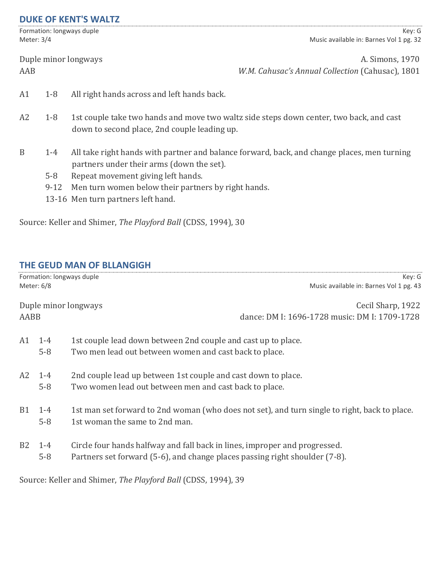#### **DUKE OF KENT'S WALTZ**

Formation: longways duple Meter: 3/4

Key: G Music available in: Barnes Vol 1 pg. 32

Duple minor longways **A. Simons, 1970** 

AAB *W.M. Cahusac's Annual Collection* (Cahusac), 1801

- A1 1-8 All right hands across and left hands back.
- A2 1-8 1st couple take two hands and move two waltz side steps down center, two back, and cast down to second place, 2nd couple leading up.
- B 1-4 All take right hands with partner and balance forward, back, and change places, men turning partners under their arms (down the set).
	- 5-8 Repeat movement giving left hands.
	- 9-12 Men turn women below their partners by right hands.
	- 13-16 Men turn partners left hand.

Source: Keller and Shimer, *The Playford Ball* (CDSS, 1994), 30

#### **THE GEUD MAN OF BLLANGIGH**

|           | Formation: longways duple<br>Meter: 6/8 | Key: G<br>Music available in: Barnes Vol 1 pg. 43                                                                                                         |
|-----------|-----------------------------------------|-----------------------------------------------------------------------------------------------------------------------------------------------------------|
| AABB      |                                         | Duple minor longways<br>Cecil Sharp, 1922<br>dance: DM I: 1696-1728 music: DM I: 1709-1728                                                                |
| A1        | $1 - 4$<br>$5-8$                        | 1st couple lead down between 2nd couple and cast up to place.<br>Two men lead out between women and cast back to place.                                   |
|           | A2 1-4<br>$5-8$                         | 2nd couple lead up between 1st couple and cast down to place.<br>Two women lead out between men and cast back to place.                                   |
| <b>B1</b> | $1 - 4$<br>$5 - 8$                      | 1st man set forward to 2nd woman (who does not set), and turn single to right, back to place.<br>1st woman the same to 2nd man.                           |
| B2        | $1 - 4$<br>$5 - 8$                      | Circle four hands halfway and fall back in lines, improper and progressed.<br>Partners set forward (5-6), and change places passing right shoulder (7-8). |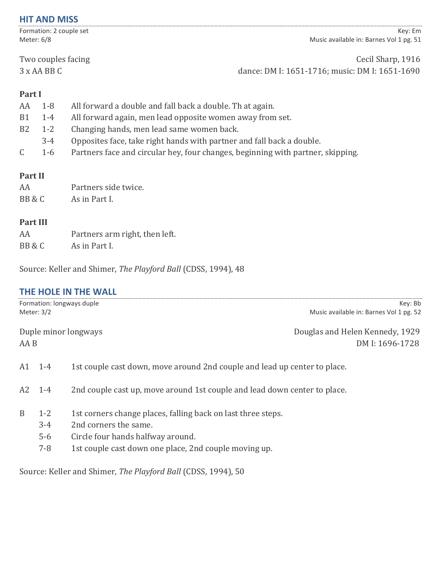#### **HIT AND MISS**

Formation: 2 couple set Meter: 6/8

Key: Em Music available in: Barnes Vol 1 pg. 51

Two couples facing Two couples facing 3 x AA BB C dance: DM I: 1651-1716; music: DM I: 1651-1690

# **Part I**

| AA             | $1 - 8$ | All forward a double and fall back a double. Th at again.                       |
|----------------|---------|---------------------------------------------------------------------------------|
| B <sub>1</sub> | $1 - 4$ | All forward again, men lead opposite women away from set.                       |
| B <sub>2</sub> | $1 - 2$ | Changing hands, men lead same women back.                                       |
|                | $3 - 4$ | Opposites face, take right hands with partner and fall back a double.           |
|                | $1-6$   | Partners face and circular hey, four changes, beginning with partner, skipping. |
|                |         |                                                                                 |
| <b>Part II</b> |         |                                                                                 |
| AA             |         | Partners side twice.                                                            |
| BB & C         |         | As in Part I.                                                                   |

#### **Part III**

| AA     | Partners arm right, then left. |
|--------|--------------------------------|
| BB & C | As in Part I.                  |

Source: Keller and Shimer, *The Playford Ball* (CDSS, 1994), 48

# **THE HOLE IN THE WALL**

|      | Meter: $3/2$                           | Formation: longways duple<br>Key: Bb<br>Music available in: Barnes Vol 1 pg. 52                                                                                                     |
|------|----------------------------------------|-------------------------------------------------------------------------------------------------------------------------------------------------------------------------------------|
| AA B |                                        | Duple minor longways<br>Douglas and Helen Kennedy, 1929<br>DM I: 1696-1728                                                                                                          |
| A1   | $1 - 4$                                | 1st couple cast down, move around 2nd couple and lead up center to place.                                                                                                           |
|      | $A2 \t1-4$                             | 2nd couple cast up, move around 1st couple and lead down center to place.                                                                                                           |
| B    | $1 - 2$<br>$3 - 4$<br>$5-6$<br>$7 - 8$ | 1st corners change places, falling back on last three steps.<br>2nd corners the same.<br>Circle four hands halfway around.<br>1st couple cast down one place, 2nd couple moving up. |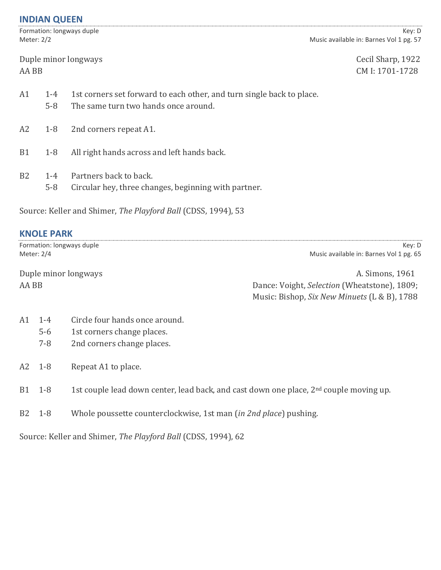# **INDIAN QUEEN**

Formation: longways duple Meter: 2/2

Key: D Music available in: Barnes Vol 1 pg. 57

Duple minor longways Cecil Sharp, 1922 AA BB CM I: 1701-1728

| A1        | $1 - 4$<br>$5-8$   | 1st corners set forward to each other, and turn single back to place.<br>The same turn two hands once around. |
|-----------|--------------------|---------------------------------------------------------------------------------------------------------------|
|           |                    | A2 1-8 2nd corners repeat A1.                                                                                 |
| <b>B1</b> | $1-8$              | All right hands across and left hands back.                                                                   |
| <b>B2</b> | $1 - 4$<br>$5 - 8$ | Partners back to back.<br>Circular hey, three changes, beginning with partner.                                |

Source: Keller and Shimer, *The Playford Ball* (CDSS, 1994), 53

|                | <b>KNOLE PARK</b> |                                                                                                    |                                                   |
|----------------|-------------------|----------------------------------------------------------------------------------------------------|---------------------------------------------------|
| Meter: 2/4     |                   | Formation: longways duple                                                                          | Key: D<br>Music available in: Barnes Vol 1 pg. 65 |
|                |                   |                                                                                                    |                                                   |
|                |                   | Duple minor longways                                                                               | A. Simons, 1961                                   |
| AA BB          |                   |                                                                                                    | Dance: Voight, Selection (Wheatstone), 1809;      |
|                |                   |                                                                                                    | Music: Bishop, Six New Minuets (L & B), 1788      |
| A1             | $1 - 4$           | Circle four hands once around.                                                                     |                                                   |
|                | $5-6$             | 1st corners change places.                                                                         |                                                   |
|                | $7 - 8$           | 2nd corners change places.                                                                         |                                                   |
| A2             | $1-8$             | Repeat A1 to place.                                                                                |                                                   |
| B1             | $1 - 8$           | 1st couple lead down center, lead back, and cast down one place, 2 <sup>nd</sup> couple moving up. |                                                   |
| B <sub>2</sub> | $1-8$             | Whole poussette counterclockwise, 1st man (in 2nd place) pushing.                                  |                                                   |